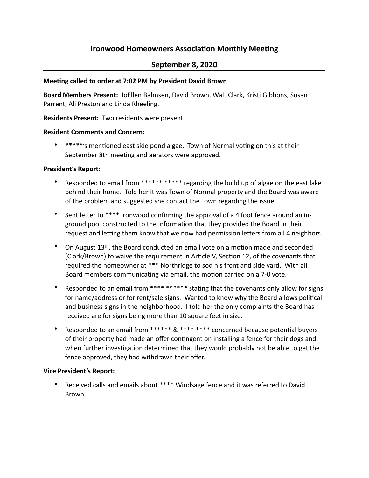# **Ironwood Homeowners Association Monthly Meeting**

## **September 8, 2020**

## **Meeting called to order at 7:02 PM by President David Brown**

**Board Members Present:** JoEllen Bahnsen, David Brown, Walt Clark, Kristi Gibbons, Susan Parrent, Ali Preston and Linda Rheeling.

## **Residents Present:** Two residents were present

## **Resident Comments and Concern:**

• \*\*\*\*\*'s mentioned east side pond algae. Town of Normal voting on this at their September 8th meeting and aerators were approved.

## **President's Report:**

- Responded to email from \*\*\*\*\*\* \*\*\*\*\* regarding the build up of algae on the east lake behind their home. Told her it was Town of Normal property and the Board was aware of the problem and suggested she contact the Town regarding the issue.
- Sent letter to \*\*\*\* Ironwood confirming the approval of a 4 foot fence around an inground pool constructed to the information that they provided the Board in their request and letting them know that we now had permission letters from all 4 neighbors.
- On August 13<sup>th</sup>, the Board conducted an email vote on a motion made and seconded (Clark/Brown) to waive the requirement in Article V, Section 12, of the covenants that required the homeowner at \*\*\* Northridge to sod his front and side yard. With all Board members communicating via email, the motion carried on a 7-0 vote.
- Responded to an email from \*\*\*\* \*\*\*\*\*\* stating that the covenants only allow for signs for name/address or for rent/sale signs. Wanted to know why the Board allows political and business signs in the neighborhood. I told her the only complaints the Board has received are for signs being more than 10 square feet in size.
- Responded to an email from \*\*\*\*\*\* & \*\*\*\* \*\*\*\* concerned because potential buyers of their property had made an offer contingent on installing a fence for their dogs and, when further investigation determined that they would probably not be able to get the fence approved, they had withdrawn their offer.

## **Vice President's Report:**

Received calls and emails about \*\*\*\* Windsage fence and it was referred to David Brown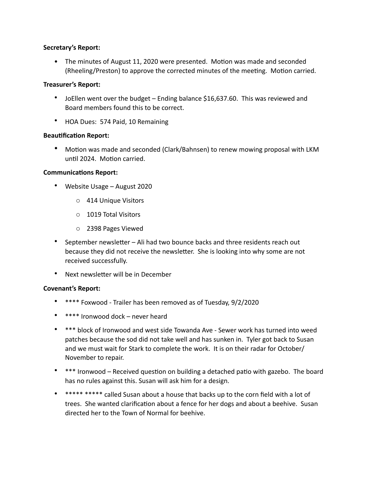## **Secretary's Report:**

• The minutes of August 11, 2020 were presented. Motion was made and seconded (Rheeling/Preston) to approve the corrected minutes of the meeting. Motion carried.

## **Treasurer's Report:**

- JoEllen went over the budget Ending balance \$16,637.60. This was reviewed and Board members found this to be correct.
- HOA Dues: 574 Paid, 10 Remaining

#### **Beautification Report:**

• Motion was made and seconded (Clark/Bahnsen) to renew mowing proposal with LKM until 2024. Motion carried.

#### **Communications Report:**

- Website Usage August 2020
	- o 414 Unique Visitors
	- o 1019 Total Visitors
	- o 2398 Pages Viewed
- September newsletter Ali had two bounce backs and three residents reach out because they did not receive the newsletter. She is looking into why some are not received successfully.
- Next newsletter will be in December

## **Covenant's Report:**

- \*\*\*\* Foxwood Trailer has been removed as of Tuesday, 9/2/2020
- \*\*\*\* Ironwood dock never heard
- \*\*\* block of Ironwood and west side Towanda Ave Sewer work has turned into weed patches because the sod did not take well and has sunken in. Tyler got back to Susan and we must wait for Stark to complete the work. It is on their radar for October/ November to repair.
- \*\*\* Ironwood Received question on building a detached patio with gazebo. The board has no rules against this. Susan will ask him for a design.
- \*\*\*\*\* \*\*\*\*\* called Susan about a house that backs up to the corn field with a lot of trees. She wanted clarification about a fence for her dogs and about a beehive. Susan directed her to the Town of Normal for beehive.